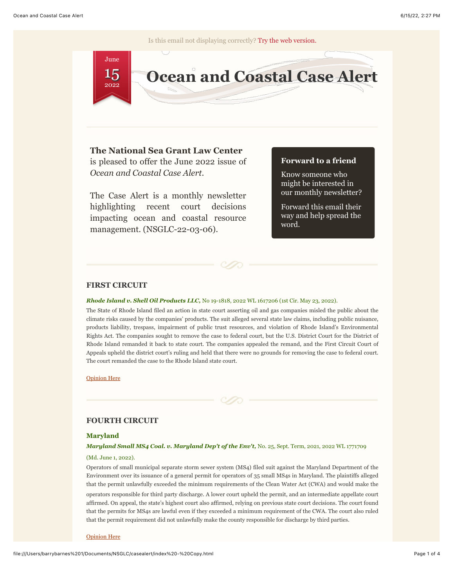Is this email not displaying correctly? [Try the web version.](http://nsglc.olemiss.edu/casealert/index.html)



# **The National Sea Grant Law Center**

is pleased to offer the June 2022 issue of *Ocean and Coastal Case Alert*.

The Case Alert is a monthly newsletter highlighting recent court decisions impacting ocean and coastal resource management. (NSGLC-22-03-06).

# **Forward to a friend**

Know someone who might be interested in our monthly newsletter?

Forward this email their way and help spread the word.



# **FIRST CIRCUIT**

## *Rhode Island v. Shell Oil Products LLC,* No 19-1818, 2022 WL 1617206 (1st Cir. May 23, 2022).

The State of Rhode Island filed an action in state court asserting oil and gas companies misled the public about the climate risks caused by the companies' products. The suit alleged several state law claims, including public nuisance, products liability, trespass, impairment of public trust resources, and violation of Rhode Island's Environmental Rights Act. The companies sought to remove the case to federal court, but the U.S. District Court for the District of Rhode Island remanded it back to state court. The companies appealed the remand, and the First Circuit Court of Appeals upheld the district court's ruling and held that there were no grounds for removing the case to federal court. The court remanded the case to the Rhode Island state court.

[Opinion Here](http://nsglc.olemiss.edu/casealert/june-2022/rhode-island.pdf)



#### **Maryland**

## *Maryland Small MS4 Coal. v. Maryland Dep't of the Env't,* No. 25, Sept. Term, 2021, 2022 WL 1771709

## (Md. June 1, 2022).

Operators of small municipal separate storm sewer system (MS4) filed suit against the Maryland Department of the Environment over its issuance of a general permit for operators of 35 small MS4s in Maryland. The plaintiffs alleged that the permit unlawfully exceeded the minimum requirements of the Clean Water Act (CWA) and would make the operators responsible for third party discharge. A lower court upheld the permit, and an intermediate appellate court affirmed. On appeal, the state's highest court also affirmed, relying on previous state court decisions. The court found that the permits for MS4s are lawful even if they exceeded a minimum requirement of the CWA. The court also ruled that the permit requirement did not unlawfully make the county responsible for discharge by third parties.

[Opinion Here](http://nsglc.olemiss.edu/casealert/june-2022/small-ms4-coalition.pdf)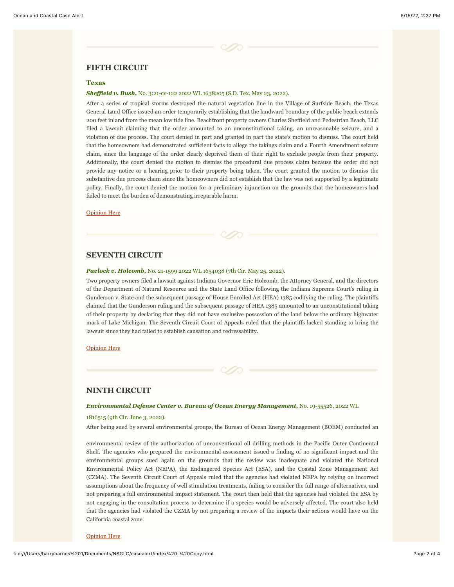## **FIFTH CIRCUIT**

### **Texas**

#### *Sheffield v. Bush,* No. 3:21-cv-122 2022 WL 1638205 (S.D. Tex. May 23, 2022).

After a series of tropical storms destroyed the natural vegetation line in the Village of Surfside Beach, the Texas General Land Office issued an order temporarily establishing that the landward boundary of the public beach extends 200 feet inland from the mean low tide line. Beachfront property owners Charles Sheffield and Pedestrian Beach, LLC filed a lawsuit claiming that the order amounted to an unconstitutional taking, an unreasonable seizure, and a violation of due process. The court denied in part and granted in part the state's motion to dismiss. The court held that the homeowners had demonstrated sufficient facts to allege the takings claim and a Fourth Amendment seizure claim, since the language of the order clearly deprived them of their right to exclude people from their property. Additionally, the court denied the motion to dismiss the procedural due process claim because the order did not provide any notice or a hearing prior to their property being taken. The court granted the motion to dismiss the substantive due process claim since the homeowners did not establish that the law was not supported by a legitimate policy. Finally, the court denied the motion for a preliminary injunction on the grounds that the homeowners had failed to meet the burden of demonstrating irreparable harm.

[Opinion Here](http://nsglc.olemiss.edu/casealert/june-2022/sheffield.pdf)

# **SEVENTH CIRCUIT**

#### *Pavlock v. Holcomb,* No. 21-1599 2022 WL 1654038 (7th Cir. May 25, 2022).

Two property owners filed a lawsuit against Indiana Governor Eric Holcomb, the Attorney General, and the directors of the Department of Natural Resource and the State Land Office following the Indiana Supreme Court's ruling in Gunderson v. State and the subsequent passage of House Enrolled Act (HEA) 1385 codifying the ruling. The plaintiffs claimed that the Gunderson ruling and the subsequent passage of HEA 1385 amounted to an unconstitutional taking of their property by declaring that they did not have exclusive possession of the land below the ordinary highwater mark of Lake Michigan. The Seventh Circuit Court of Appeals ruled that the plaintiffs lacked standing to bring the lawsuit since they had failed to establish causation and redressability.

#### [Opinion Here](http://nsglc.olemiss.edu/casealert/june-2022/pavlock.pdf)

## **NINTH CIRCUIT**

#### *Environmental Defense Center v. Bureau of Ocean Energy Management,* No. 19-55526, 2022 WL

### 1816515 (9th Cir. June 3, 2022).

After being sued by several environmental groups, the Bureau of Ocean Energy Management (BOEM) conducted an

environmental review of the authorization of unconventional oil drilling methods in the Pacific Outer Continental Shelf. The agencies who prepared the environmental assessment issued a finding of no significant impact and the environmental groups sued again on the grounds that the review was inadequate and violated the National Environmental Policy Act (NEPA), the Endangered Species Act (ESA), and the Coastal Zone Management Act (CZMA). The Seventh Circuit Court of Appeals ruled that the agencies had violated NEPA by relying on incorrect assumptions about the frequency of well stimulation treatments, failing to consider the full range of alternatives, and not preparing a full environmental impact statement. The court then held that the agencies had violated the ESA by not engaging in the consultation process to determine if a species would be adversely affected. The court also held that the agencies had violated the CZMA by not preparing a review of the impacts their actions would have on the California coastal zone.

#### [Opinion Here](http://nsglc.olemiss.edu/casealert/june-2022/env-defense-center.pdf)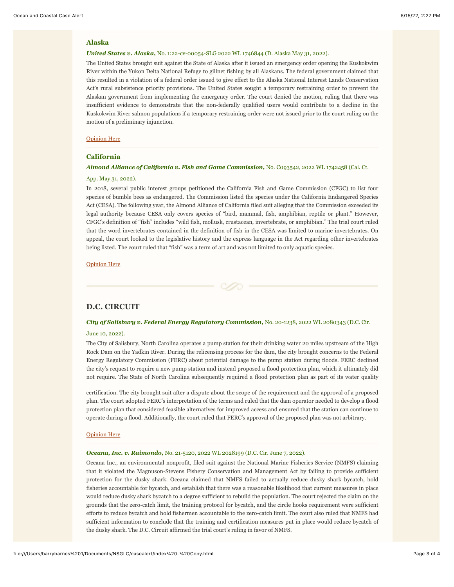#### **Alaska**

### *United States v. Alaska,* No. 1:22-cv-00054-SLG 2022 WL 1746844 (D. Alaska May 31, 2022).

The United States brought suit against the State of Alaska after it issued an emergency order opening the Kuskokwim River within the Yukon Delta National Refuge to gillnet fishing by all Alaskans. The federal government claimed that this resulted in a violation of a federal order issued to give effect to the Alaska National Interest Lands Conservation Act's rural subsistence priority provisions. The United States sought a temporary restraining order to prevent the Alaskan government from implementing the emergency order. The court denied the motion, ruling that there was insufficient evidence to demonstrate that the non-federally qualified users would contribute to a decline in the Kuskokwim River salmon populations if a temporary restraining order were not issued prior to the court ruling on the motion of a preliminary injunction.

## [Opinion Here](http://nsglc.olemiss.edu/casealert/june-2022/us-v-alaska.pdf)

## **California**

## *Almond Alliance of California v. Fish and Game Commission,* No. C093542, 2022 WL 1742458 (Cal. Ct.

### App. May 31, 2022).

In 2018, several public interest groups petitioned the California Fish and Game Commission (CFGC) to list four species of bumble bees as endangered. The Commission listed the species under the California Endangered Species Act (CESA). The following year, the Almond Alliance of California filed suit alleging that the Commission exceeded its legal authority because CESA only covers species of "bird, mammal, fish, amphibian, reptile or plant." However, CFGC's definition of "fish" includes "wild fish, mollusk, crustacean, invertebrate, or amphibian." The trial court ruled that the word invertebrates contained in the definition of fish in the CESA was limited to marine invertebrates. On appeal, the court looked to the legislative history and the express language in the Act regarding other invertebrates being listed. The court ruled that "fish" was a term of art and was not limited to only aquatic species.

[Opinion Here](http://nsglc.olemiss.edu/casealert/june-2022/almond-alliance.pdf)

# **D.C. CIRCUIT**

#### *City of Salisbury v. Federal Energy Regulatory Commission,* No. 20-1238, 2022 WL 2080343 (D.C. Cir.

#### June 10, 2022).

The City of Salisbury, North Carolina operates a pump station for their drinking water 20 miles upstream of the High Rock Dam on the Yadkin River. During the relicensing process for the dam, the city brought concerns to the Federal Energy Regulatory Commission (FERC) about potential damage to the pump station during floods. FERC declined the city's request to require a new pump station and instead proposed a flood protection plan, which it ultimately did not require. The State of North Carolina subsequently required a flood protection plan as part of its water quality

certification. The city brought suit after a dispute about the scope of the requirement and the approval of a proposed plan. The court adopted FERC's interpretation of the terms and ruled that the dam operator needed to develop a flood protection plan that considered feasible alternatives for improved access and ensured that the station can continue to operate during a flood. Additionally, the court ruled that FERC's approval of the proposed plan was not arbitrary.

#### [Opinion Here](http://nsglc.olemiss.edu/casealert/june-2022/salisbury-v-ferc.pdf)

### *Oceana, Inc. v. Raimondo,* No. 21-5120, 2022 WL 2028199 (D.C. Cir. June 7, 2022).

Oceana Inc., an environmental nonprofit, filed suit against the National Marine Fisheries Service (NMFS) claiming that it violated the Magnuson-Stevens Fishery Conservation and Management Act by failing to provide sufficient protection for the dusky shark. Oceana claimed that NMFS failed to actually reduce dusky shark bycatch, hold fisheries accountable for bycatch, and establish that there was a reasonable likelihood that current measures in place would reduce dusky shark bycatch to a degree sufficient to rebuild the population. The court rejected the claim on the grounds that the zero-catch limit, the training protocol for bycatch, and the circle hooks requirement were sufficient efforts to reduce bycatch and hold fishermen accountable to the zero-catch limit. The court also ruled that NMFS had sufficient information to conclude that the training and certification measures put in place would reduce bycatch of the dusky shark. The D.C. Circuit affirmed the trial court's ruling in favor of NMFS.